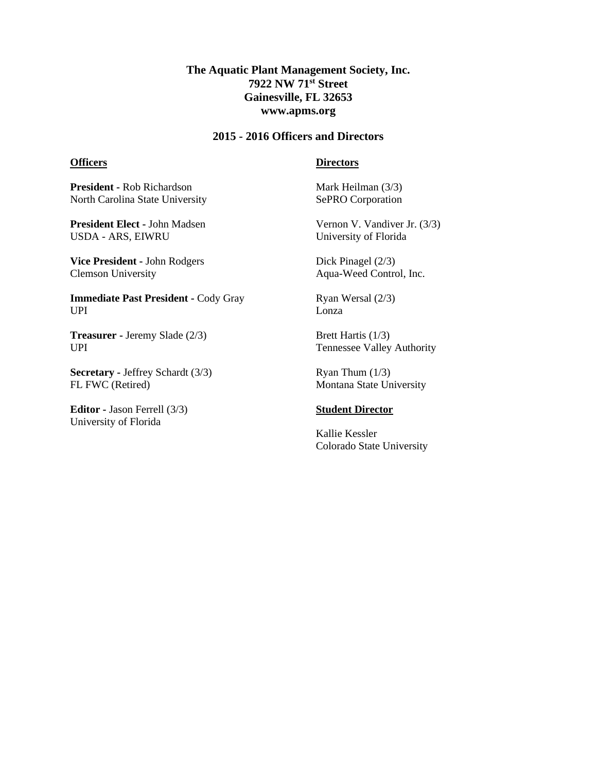# **The Aquatic Plant Management Society, Inc. 7922 NW 71st Street Gainesville, FL 32653 www.apms.org**

## **2015 - 2016 Officers and Directors**

#### **Officers**

#### **Directors**

**President -** Rob Richardson North Carolina State University

**President Elect -** John Madsen USDA - ARS, EIWRU

**Vice President -** John Rodgers Clemson University

**Immediate Past President -** Cody Gray UPI

**Treasurer -** Jeremy Slade (2/3) UPI

**Secretary -** Jeffrey Schardt (3/3) FL FWC (Retired)

**Editor -** Jason Ferrell (3/3) University of Florida

Mark Heilman (3/3) SePRO Corporation

Vernon V. Vandiver Jr. (3/3) University of Florida

Dick Pinagel (2/3) Aqua-Weed Control, Inc.

Ryan Wersal (2/3) Lonza

Brett Hartis (1/3) Tennessee Valley Authority

Ryan Thum  $(1/3)$ Montana State University

## **Student Director**

Kallie Kessler Colorado State University